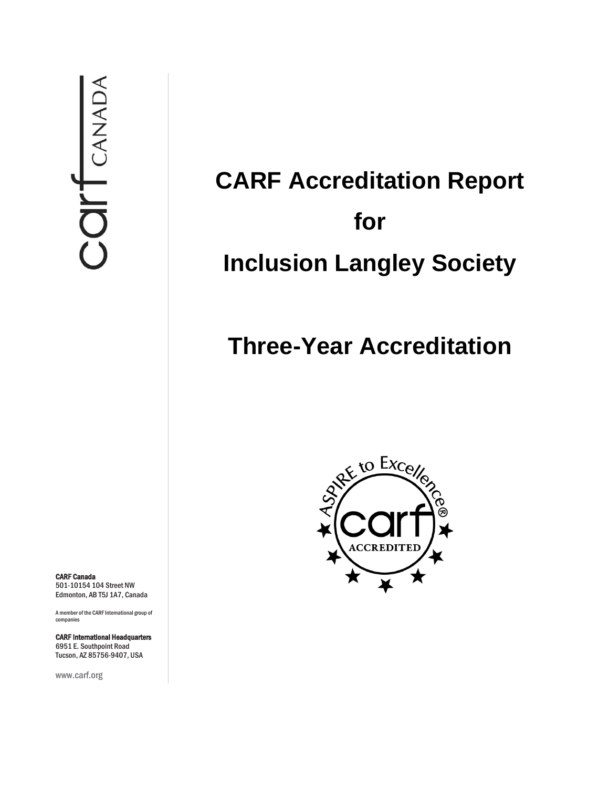CARF Canada 501-10154 104 Street NW Edmonton, AB T5J 1A7, Canada

A member of the CARF International group of companies

CARF International Headquarters 6951 E. Southpoint Road Tucson, AZ 85756-9407, USA

www.carf.org

# **CARF Accreditation Report for Inclusion Langley Society**

## **Three-Year Accreditation**

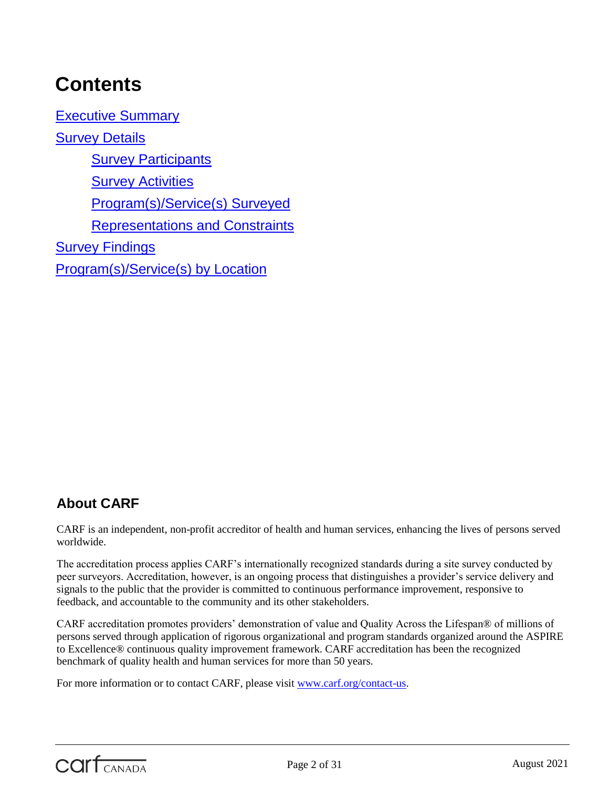## **Contents**

[Executive Summary](#page-3-0) [Survey Details](#page-4-0) **[Survey Participants](#page-4-1) [Survey Activities](#page-4-2)** [Program\(s\)/Service\(s\) Surveyed](#page-5-0) [Representations and Constraints](#page-5-1) **[Survey Findings](#page-5-2)** [Program\(s\)/Service\(s\) by Location](#page-27-0)

## **About CARF**

CARF is an independent, non-profit accreditor of health and human services, enhancing the lives of persons served worldwide.

The accreditation process applies CARF's internationally recognized standards during a site survey conducted by peer surveyors. Accreditation, however, is an ongoing process that distinguishes a provider's service delivery and signals to the public that the provider is committed to continuous performance improvement, responsive to feedback, and accountable to the community and its other stakeholders.

CARF accreditation promotes providers' demonstration of value and Quality Across the Lifespan® of millions of persons served through application of rigorous organizational and program standards organized around the ASPIRE to Excellence® continuous quality improvement framework. CARF accreditation has been the recognized benchmark of quality health and human services for more than 50 years.

For more information or to contact CARF, please visit [www.carf.org/contact-us.](http://www.carf.org/contact-us)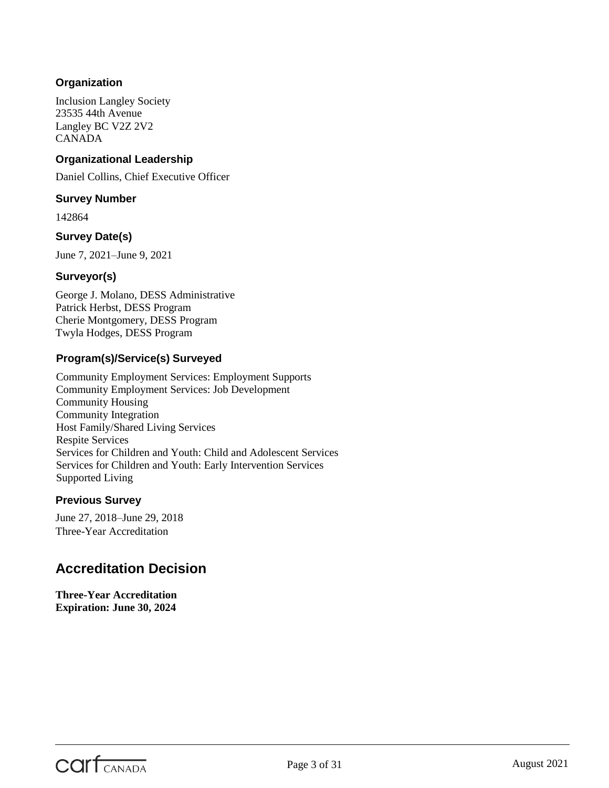#### **Organization**

Inclusion Langley Society 23535 44th Avenue Langley BC V2Z 2V2 CANADA

#### **Organizational Leadership**

Daniel Collins, Chief Executive Officer

#### **Survey Number**

142864

#### **Survey Date(s)**

June 7, 2021–June 9, 2021

#### **Surveyor(s)**

George J. Molano, DESS Administrative Patrick Herbst, DESS Program Cherie Montgomery, DESS Program Twyla Hodges, DESS Program

#### **Program(s)/Service(s) Surveyed**

Community Employment Services: Employment Supports Community Employment Services: Job Development Community Housing Community Integration Host Family/Shared Living Services Respite Services Services for Children and Youth: Child and Adolescent Services Services for Children and Youth: Early Intervention Services Supported Living

#### **Previous Survey**

June 27, 2018–June 29, 2018 Three-Year Accreditation

### **Accreditation Decision**

**Three-Year Accreditation Expiration: June 30, 2024**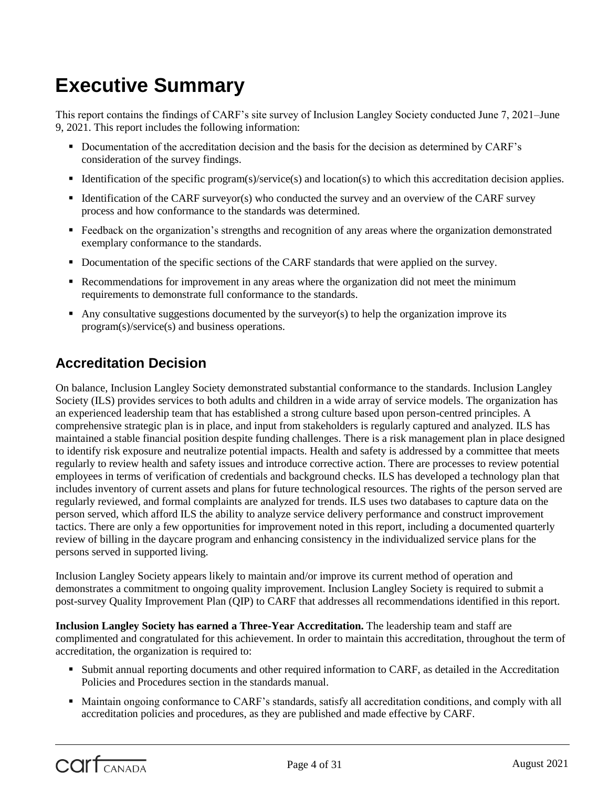## <span id="page-3-0"></span>**Executive Summary**

This report contains the findings of CARF's site survey of Inclusion Langley Society conducted June 7, 2021–June 9, 2021. This report includes the following information:

- Documentation of the accreditation decision and the basis for the decision as determined by CARF's consideration of the survey findings.
- Identification of the specific program(s)/service(s) and location(s) to which this accreditation decision applies.
- Identification of the CARF surveyor(s) who conducted the survey and an overview of the CARF survey process and how conformance to the standards was determined.
- **Feedback on the organization's strengths and recognition of any areas where the organization demonstrated** exemplary conformance to the standards.
- Documentation of the specific sections of the CARF standards that were applied on the survey.
- Recommendations for improvement in any areas where the organization did not meet the minimum requirements to demonstrate full conformance to the standards.
- Any consultative suggestions documented by the surveyor(s) to help the organization improve its program(s)/service(s) and business operations.

## **Accreditation Decision**

On balance, Inclusion Langley Society demonstrated substantial conformance to the standards. Inclusion Langley Society (ILS) provides services to both adults and children in a wide array of service models. The organization has an experienced leadership team that has established a strong culture based upon person-centred principles. A comprehensive strategic plan is in place, and input from stakeholders is regularly captured and analyzed. ILS has maintained a stable financial position despite funding challenges. There is a risk management plan in place designed to identify risk exposure and neutralize potential impacts. Health and safety is addressed by a committee that meets regularly to review health and safety issues and introduce corrective action. There are processes to review potential employees in terms of verification of credentials and background checks. ILS has developed a technology plan that includes inventory of current assets and plans for future technological resources. The rights of the person served are regularly reviewed, and formal complaints are analyzed for trends. ILS uses two databases to capture data on the person served, which afford ILS the ability to analyze service delivery performance and construct improvement tactics. There are only a few opportunities for improvement noted in this report, including a documented quarterly review of billing in the daycare program and enhancing consistency in the individualized service plans for the persons served in supported living.

Inclusion Langley Society appears likely to maintain and/or improve its current method of operation and demonstrates a commitment to ongoing quality improvement. Inclusion Langley Society is required to submit a post-survey Quality Improvement Plan (QIP) to CARF that addresses all recommendations identified in this report.

**Inclusion Langley Society has earned a Three-Year Accreditation.** The leadership team and staff are complimented and congratulated for this achievement. In order to maintain this accreditation, throughout the term of accreditation, the organization is required to:

- Submit annual reporting documents and other required information to CARF, as detailed in the Accreditation Policies and Procedures section in the standards manual.
- Maintain ongoing conformance to CARF's standards, satisfy all accreditation conditions, and comply with all accreditation policies and procedures, as they are published and made effective by CARF.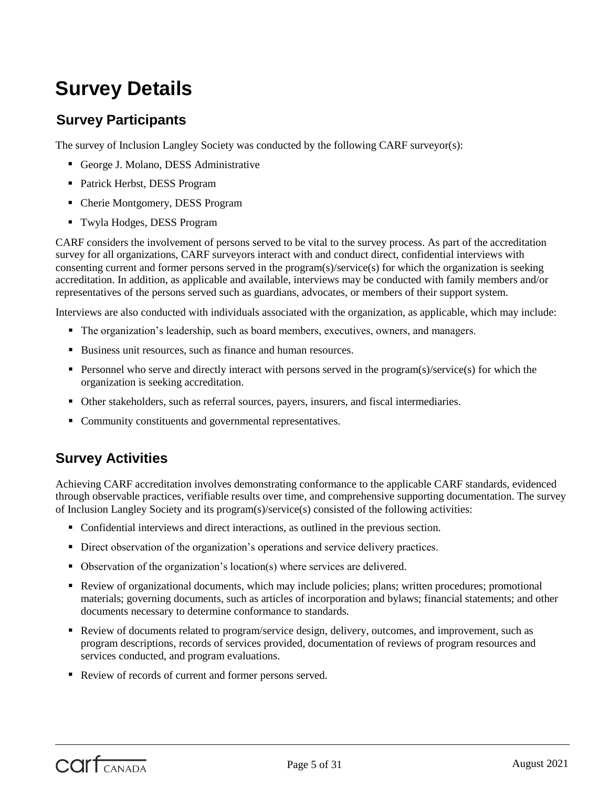## <span id="page-4-0"></span>**Survey Details**

## <span id="page-4-1"></span>**Survey Participants**

The survey of Inclusion Langley Society was conducted by the following CARF surveyor(s):

- George J. Molano, DESS Administrative
- Patrick Herbst, DESS Program
- Cherie Montgomery, DESS Program
- Twyla Hodges, DESS Program

CARF considers the involvement of persons served to be vital to the survey process. As part of the accreditation survey for all organizations, CARF surveyors interact with and conduct direct, confidential interviews with consenting current and former persons served in the program(s)/service(s) for which the organization is seeking accreditation. In addition, as applicable and available, interviews may be conducted with family members and/or representatives of the persons served such as guardians, advocates, or members of their support system.

Interviews are also conducted with individuals associated with the organization, as applicable, which may include:

- The organization's leadership, such as board members, executives, owners, and managers.
- Business unit resources, such as finance and human resources.
- **Personnel who serve and directly interact with persons served in the program(s)/service(s) for which the** organization is seeking accreditation.
- Other stakeholders, such as referral sources, payers, insurers, and fiscal intermediaries.
- Community constituents and governmental representatives.

### <span id="page-4-2"></span>**Survey Activities**

Achieving CARF accreditation involves demonstrating conformance to the applicable CARF standards, evidenced through observable practices, verifiable results over time, and comprehensive supporting documentation. The survey of Inclusion Langley Society and its program(s)/service(s) consisted of the following activities:

- Confidential interviews and direct interactions, as outlined in the previous section.
- Direct observation of the organization's operations and service delivery practices.
- Observation of the organization's location(s) where services are delivered.
- Review of organizational documents, which may include policies; plans; written procedures; promotional materials; governing documents, such as articles of incorporation and bylaws; financial statements; and other documents necessary to determine conformance to standards.
- Review of documents related to program/service design, delivery, outcomes, and improvement, such as program descriptions, records of services provided, documentation of reviews of program resources and services conducted, and program evaluations.
- Review of records of current and former persons served.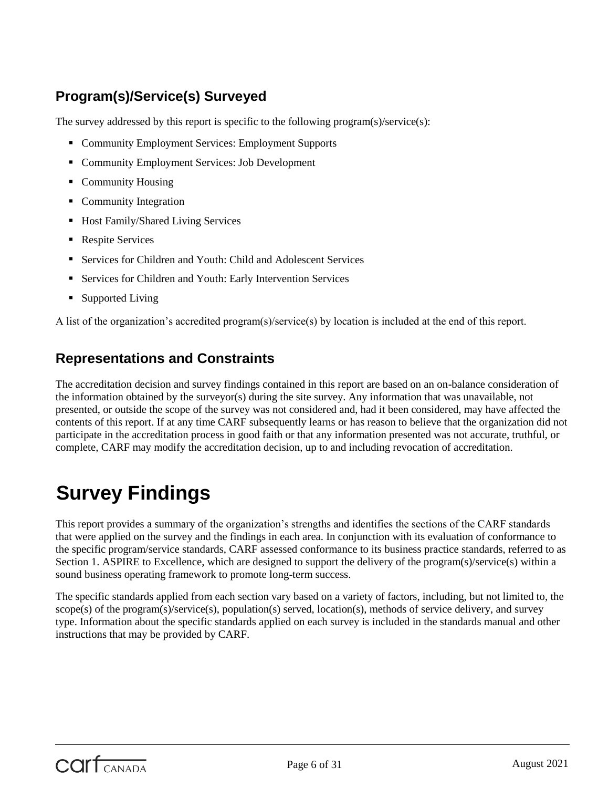## <span id="page-5-0"></span>**Program(s)/Service(s) Surveyed**

The survey addressed by this report is specific to the following program(s)/service(s):

- Community Employment Services: Employment Supports
- **Community Employment Services: Job Development**
- Community Housing
- Community Integration
- Host Family/Shared Living Services
- **Respite Services**
- Services for Children and Youth: Child and Adolescent Services
- Services for Children and Youth: Early Intervention Services
- Supported Living

A list of the organization's accredited program(s)/service(s) by location is included at the end of this report.

### <span id="page-5-1"></span>**Representations and Constraints**

The accreditation decision and survey findings contained in this report are based on an on-balance consideration of the information obtained by the surveyor(s) during the site survey. Any information that was unavailable, not presented, or outside the scope of the survey was not considered and, had it been considered, may have affected the contents of this report. If at any time CARF subsequently learns or has reason to believe that the organization did not participate in the accreditation process in good faith or that any information presented was not accurate, truthful, or complete, CARF may modify the accreditation decision, up to and including revocation of accreditation.

## <span id="page-5-2"></span>**Survey Findings**

This report provides a summary of the organization's strengths and identifies the sections of the CARF standards that were applied on the survey and the findings in each area. In conjunction with its evaluation of conformance to the specific program/service standards, CARF assessed conformance to its business practice standards, referred to as Section 1. ASPIRE to Excellence, which are designed to support the delivery of the program(s)/service(s) within a sound business operating framework to promote long-term success.

The specific standards applied from each section vary based on a variety of factors, including, but not limited to, the scope(s) of the program(s)/service(s), population(s) served, location(s), methods of service delivery, and survey type. Information about the specific standards applied on each survey is included in the standards manual and other instructions that may be provided by CARF.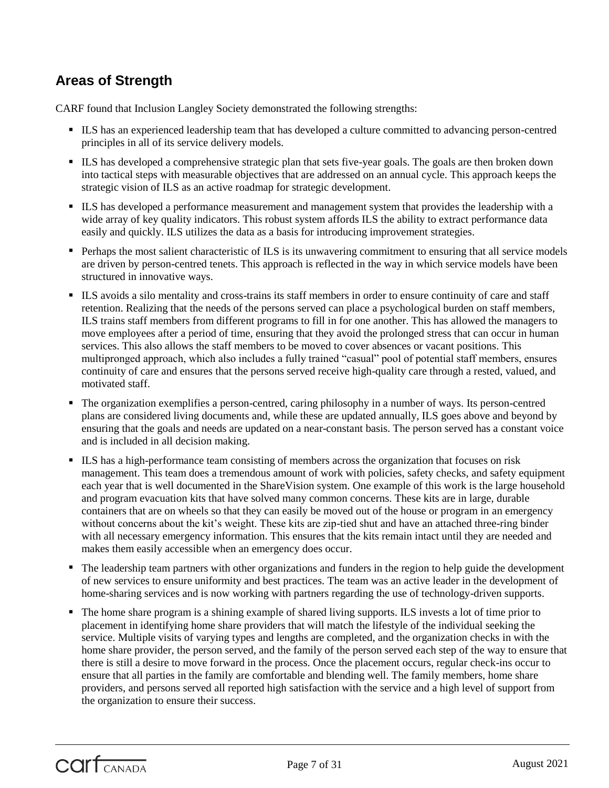## **Areas of Strength**

CARF found that Inclusion Langley Society demonstrated the following strengths:

- ILS has an experienced leadership team that has developed a culture committed to advancing person-centred principles in all of its service delivery models.
- ILS has developed a comprehensive strategic plan that sets five-year goals. The goals are then broken down into tactical steps with measurable objectives that are addressed on an annual cycle. This approach keeps the strategic vision of ILS as an active roadmap for strategic development.
- ILS has developed a performance measurement and management system that provides the leadership with a wide array of key quality indicators. This robust system affords ILS the ability to extract performance data easily and quickly. ILS utilizes the data as a basis for introducing improvement strategies.
- **Perhaps the most salient characteristic of ILS is its unwavering commitment to ensuring that all service models** are driven by person-centred tenets. This approach is reflected in the way in which service models have been structured in innovative ways.
- ILS avoids a silo mentality and cross-trains its staff members in order to ensure continuity of care and staff retention. Realizing that the needs of the persons served can place a psychological burden on staff members, ILS trains staff members from different programs to fill in for one another. This has allowed the managers to move employees after a period of time, ensuring that they avoid the prolonged stress that can occur in human services. This also allows the staff members to be moved to cover absences or vacant positions. This multipronged approach, which also includes a fully trained "casual" pool of potential staff members, ensures continuity of care and ensures that the persons served receive high-quality care through a rested, valued, and motivated staff.
- The organization exemplifies a person-centred, caring philosophy in a number of ways. Its person-centred plans are considered living documents and, while these are updated annually, ILS goes above and beyond by ensuring that the goals and needs are updated on a near-constant basis. The person served has a constant voice and is included in all decision making.
- ILS has a high-performance team consisting of members across the organization that focuses on risk management. This team does a tremendous amount of work with policies, safety checks, and safety equipment each year that is well documented in the ShareVision system. One example of this work is the large household and program evacuation kits that have solved many common concerns. These kits are in large, durable containers that are on wheels so that they can easily be moved out of the house or program in an emergency without concerns about the kit's weight. These kits are zip-tied shut and have an attached three-ring binder with all necessary emergency information. This ensures that the kits remain intact until they are needed and makes them easily accessible when an emergency does occur.
- The leadership team partners with other organizations and funders in the region to help guide the development of new services to ensure uniformity and best practices. The team was an active leader in the development of home-sharing services and is now working with partners regarding the use of technology-driven supports.
- The home share program is a shining example of shared living supports. ILS invests a lot of time prior to placement in identifying home share providers that will match the lifestyle of the individual seeking the service. Multiple visits of varying types and lengths are completed, and the organization checks in with the home share provider, the person served, and the family of the person served each step of the way to ensure that there is still a desire to move forward in the process. Once the placement occurs, regular check-ins occur to ensure that all parties in the family are comfortable and blending well. The family members, home share providers, and persons served all reported high satisfaction with the service and a high level of support from the organization to ensure their success.

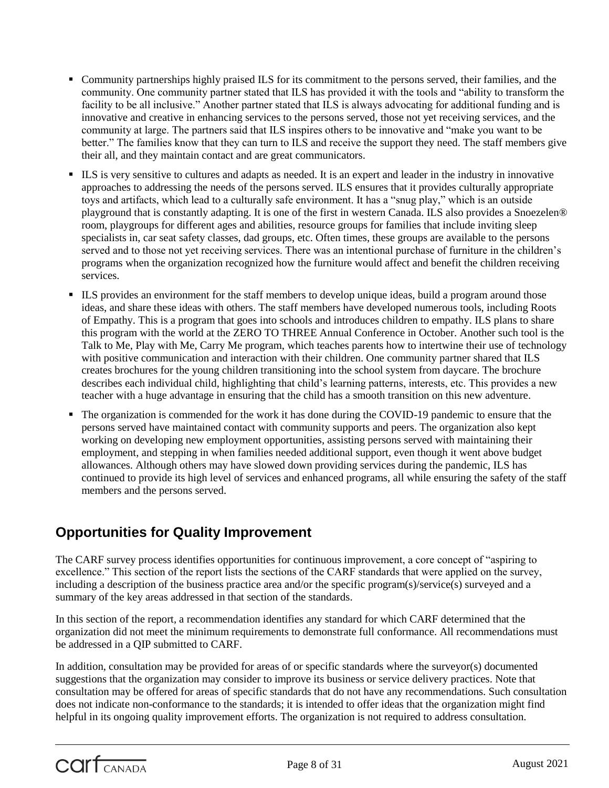- Community partnerships highly praised ILS for its commitment to the persons served, their families, and the community. One community partner stated that ILS has provided it with the tools and "ability to transform the facility to be all inclusive." Another partner stated that ILS is always advocating for additional funding and is innovative and creative in enhancing services to the persons served, those not yet receiving services, and the community at large. The partners said that ILS inspires others to be innovative and "make you want to be better." The families know that they can turn to ILS and receive the support they need. The staff members give their all, and they maintain contact and are great communicators.
- ILS is very sensitive to cultures and adapts as needed. It is an expert and leader in the industry in innovative approaches to addressing the needs of the persons served. ILS ensures that it provides culturally appropriate toys and artifacts, which lead to a culturally safe environment. It has a "snug play," which is an outside playground that is constantly adapting. It is one of the first in western Canada. ILS also provides a Snoezelen® room, playgroups for different ages and abilities, resource groups for families that include inviting sleep specialists in, car seat safety classes, dad groups, etc. Often times, these groups are available to the persons served and to those not yet receiving services. There was an intentional purchase of furniture in the children's programs when the organization recognized how the furniture would affect and benefit the children receiving services.
- ILS provides an environment for the staff members to develop unique ideas, build a program around those ideas, and share these ideas with others. The staff members have developed numerous tools, including Roots of Empathy. This is a program that goes into schools and introduces children to empathy. ILS plans to share this program with the world at the ZERO TO THREE Annual Conference in October. Another such tool is the Talk to Me, Play with Me, Carry Me program, which teaches parents how to intertwine their use of technology with positive communication and interaction with their children. One community partner shared that ILS creates brochures for the young children transitioning into the school system from daycare. The brochure describes each individual child, highlighting that child's learning patterns, interests, etc. This provides a new teacher with a huge advantage in ensuring that the child has a smooth transition on this new adventure.
- The organization is commended for the work it has done during the COVID-19 pandemic to ensure that the persons served have maintained contact with community supports and peers. The organization also kept working on developing new employment opportunities, assisting persons served with maintaining their employment, and stepping in when families needed additional support, even though it went above budget allowances. Although others may have slowed down providing services during the pandemic, ILS has continued to provide its high level of services and enhanced programs, all while ensuring the safety of the staff members and the persons served.

## **Opportunities for Quality Improvement**

The CARF survey process identifies opportunities for continuous improvement, a core concept of "aspiring to excellence." This section of the report lists the sections of the CARF standards that were applied on the survey, including a description of the business practice area and/or the specific program(s)/service(s) surveyed and a summary of the key areas addressed in that section of the standards.

In this section of the report, a recommendation identifies any standard for which CARF determined that the organization did not meet the minimum requirements to demonstrate full conformance. All recommendations must be addressed in a QIP submitted to CARF.

In addition, consultation may be provided for areas of or specific standards where the surveyor(s) documented suggestions that the organization may consider to improve its business or service delivery practices. Note that consultation may be offered for areas of specific standards that do not have any recommendations. Such consultation does not indicate non-conformance to the standards; it is intended to offer ideas that the organization might find helpful in its ongoing quality improvement efforts. The organization is not required to address consultation.

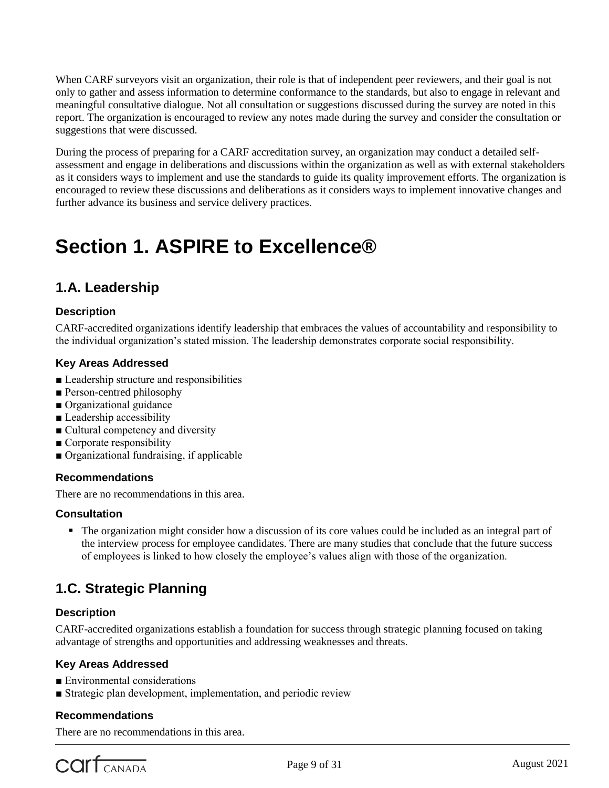When CARF surveyors visit an organization, their role is that of independent peer reviewers, and their goal is not only to gather and assess information to determine conformance to the standards, but also to engage in relevant and meaningful consultative dialogue. Not all consultation or suggestions discussed during the survey are noted in this report. The organization is encouraged to review any notes made during the survey and consider the consultation or suggestions that were discussed.

During the process of preparing for a CARF accreditation survey, an organization may conduct a detailed selfassessment and engage in deliberations and discussions within the organization as well as with external stakeholders as it considers ways to implement and use the standards to guide its quality improvement efforts. The organization is encouraged to review these discussions and deliberations as it considers ways to implement innovative changes and further advance its business and service delivery practices.

## **Section 1. ASPIRE to Excellence®**

## **1.A. Leadership**

#### **Description**

CARF-accredited organizations identify leadership that embraces the values of accountability and responsibility to the individual organization's stated mission. The leadership demonstrates corporate social responsibility.

#### **Key Areas Addressed**

- Leadership structure and responsibilities
- Person-centred philosophy
- Organizational guidance
- Leadership accessibility
- Cultural competency and diversity
- Corporate responsibility
- Organizational fundraising, if applicable

#### **Recommendations**

There are no recommendations in this area.

#### **Consultation**

 The organization might consider how a discussion of its core values could be included as an integral part of the interview process for employee candidates. There are many studies that conclude that the future success of employees is linked to how closely the employee's values align with those of the organization.

## **1.C. Strategic Planning**

#### **Description**

CARF-accredited organizations establish a foundation for success through strategic planning focused on taking advantage of strengths and opportunities and addressing weaknesses and threats.

#### **Key Areas Addressed**

- Environmental considerations
- Strategic plan development, implementation, and periodic review

#### **Recommendations**

There are no recommendations in this area.

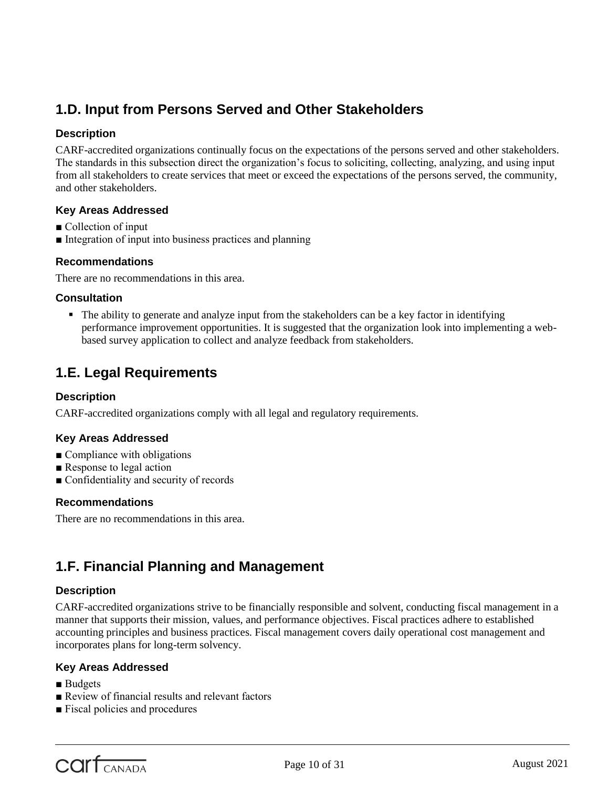## **1.D. Input from Persons Served and Other Stakeholders**

#### **Description**

CARF-accredited organizations continually focus on the expectations of the persons served and other stakeholders. The standards in this subsection direct the organization's focus to soliciting, collecting, analyzing, and using input from all stakeholders to create services that meet or exceed the expectations of the persons served, the community, and other stakeholders.

#### **Key Areas Addressed**

- Collection of input
- Integration of input into business practices and planning

#### **Recommendations**

There are no recommendations in this area.

#### **Consultation**

 The ability to generate and analyze input from the stakeholders can be a key factor in identifying performance improvement opportunities. It is suggested that the organization look into implementing a webbased survey application to collect and analyze feedback from stakeholders.

## **1.E. Legal Requirements**

#### **Description**

CARF-accredited organizations comply with all legal and regulatory requirements.

#### **Key Areas Addressed**

- Compliance with obligations
- Response to legal action
- Confidentiality and security of records

#### **Recommendations**

There are no recommendations in this area.

### **1.F. Financial Planning and Management**

#### **Description**

CARF-accredited organizations strive to be financially responsible and solvent, conducting fiscal management in a manner that supports their mission, values, and performance objectives. Fiscal practices adhere to established accounting principles and business practices. Fiscal management covers daily operational cost management and incorporates plans for long-term solvency.

#### **Key Areas Addressed**

- Budgets
- Review of financial results and relevant factors
- Fiscal policies and procedures

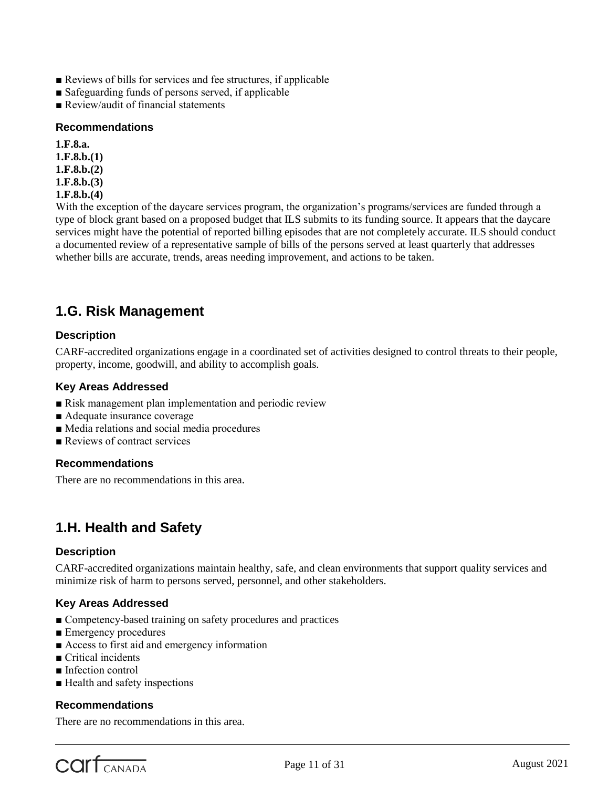- Reviews of bills for services and fee structures, if applicable
- Safeguarding funds of persons served, if applicable
- Review/audit of financial statements

#### **Recommendations**

**1.F.8.a. 1.F.8.b.(1) 1.F.8.b.(2)**

- **1.F.8.b.(3)**
- 
- **1.F.8.b.(4)**

With the exception of the daycare services program, the organization's programs/services are funded through a type of block grant based on a proposed budget that ILS submits to its funding source. It appears that the daycare services might have the potential of reported billing episodes that are not completely accurate. ILS should conduct a documented review of a representative sample of bills of the persons served at least quarterly that addresses whether bills are accurate, trends, areas needing improvement, and actions to be taken.

### **1.G. Risk Management**

#### **Description**

CARF-accredited organizations engage in a coordinated set of activities designed to control threats to their people, property, income, goodwill, and ability to accomplish goals.

#### **Key Areas Addressed**

- Risk management plan implementation and periodic review
- Adequate insurance coverage
- Media relations and social media procedures
- Reviews of contract services

#### **Recommendations**

There are no recommendations in this area.

## **1.H. Health and Safety**

#### **Description**

CARF-accredited organizations maintain healthy, safe, and clean environments that support quality services and minimize risk of harm to persons served, personnel, and other stakeholders.

#### **Key Areas Addressed**

- Competency-based training on safety procedures and practices
- Emergency procedures
- Access to first aid and emergency information
- Critical incidents
- Infection control
- Health and safety inspections

#### **Recommendations**

There are no recommendations in this area.

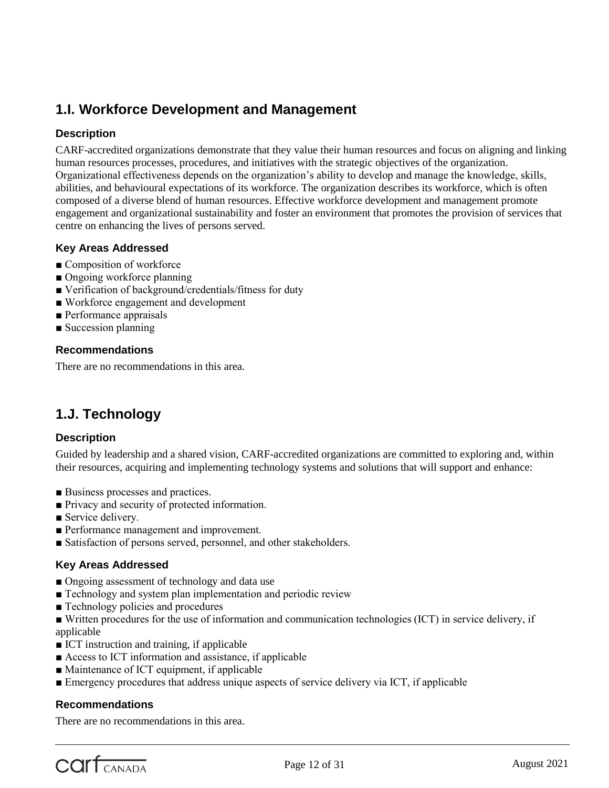## **1.I. Workforce Development and Management**

#### **Description**

CARF-accredited organizations demonstrate that they value their human resources and focus on aligning and linking human resources processes, procedures, and initiatives with the strategic objectives of the organization. Organizational effectiveness depends on the organization's ability to develop and manage the knowledge, skills, abilities, and behavioural expectations of its workforce. The organization describes its workforce, which is often composed of a diverse blend of human resources. Effective workforce development and management promote engagement and organizational sustainability and foster an environment that promotes the provision of services that centre on enhancing the lives of persons served.

#### **Key Areas Addressed**

- Composition of workforce
- Ongoing workforce planning
- Verification of background/credentials/fitness for duty
- Workforce engagement and development
- Performance appraisals
- Succession planning

#### **Recommendations**

There are no recommendations in this area.

## **1.J. Technology**

#### **Description**

Guided by leadership and a shared vision, CARF-accredited organizations are committed to exploring and, within their resources, acquiring and implementing technology systems and solutions that will support and enhance:

- Business processes and practices.
- Privacy and security of protected information.
- Service delivery.
- Performance management and improvement.
- Satisfaction of persons served, personnel, and other stakeholders.

#### **Key Areas Addressed**

- Ongoing assessment of technology and data use
- Technology and system plan implementation and periodic review
- Technology policies and procedures
- Written procedures for the use of information and communication technologies (ICT) in service delivery, if applicable
- ICT instruction and training, if applicable
- Access to ICT information and assistance, if applicable
- Maintenance of ICT equipment, if applicable
- Emergency procedures that address unique aspects of service delivery via ICT, if applicable

#### **Recommendations**

There are no recommendations in this area.

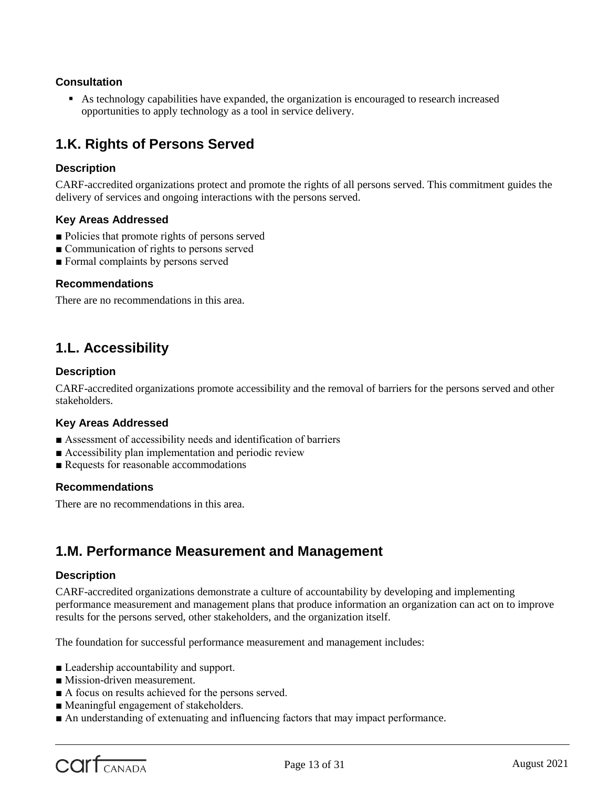#### **Consultation**

 As technology capabilities have expanded, the organization is encouraged to research increased opportunities to apply technology as a tool in service delivery.

## **1.K. Rights of Persons Served**

#### **Description**

CARF-accredited organizations protect and promote the rights of all persons served. This commitment guides the delivery of services and ongoing interactions with the persons served.

#### **Key Areas Addressed**

- Policies that promote rights of persons served
- Communication of rights to persons served
- Formal complaints by persons served

#### **Recommendations**

There are no recommendations in this area.

### **1.L. Accessibility**

#### **Description**

CARF-accredited organizations promote accessibility and the removal of barriers for the persons served and other stakeholders.

#### **Key Areas Addressed**

- Assessment of accessibility needs and identification of barriers
- Accessibility plan implementation and periodic review
- Requests for reasonable accommodations

#### **Recommendations**

There are no recommendations in this area.

### **1.M. Performance Measurement and Management**

#### **Description**

CARF-accredited organizations demonstrate a culture of accountability by developing and implementing performance measurement and management plans that produce information an organization can act on to improve results for the persons served, other stakeholders, and the organization itself.

The foundation for successful performance measurement and management includes:

- Leadership accountability and support.
- Mission-driven measurement.
- A focus on results achieved for the persons served.
- Meaningful engagement of stakeholders.
- An understanding of extenuating and influencing factors that may impact performance.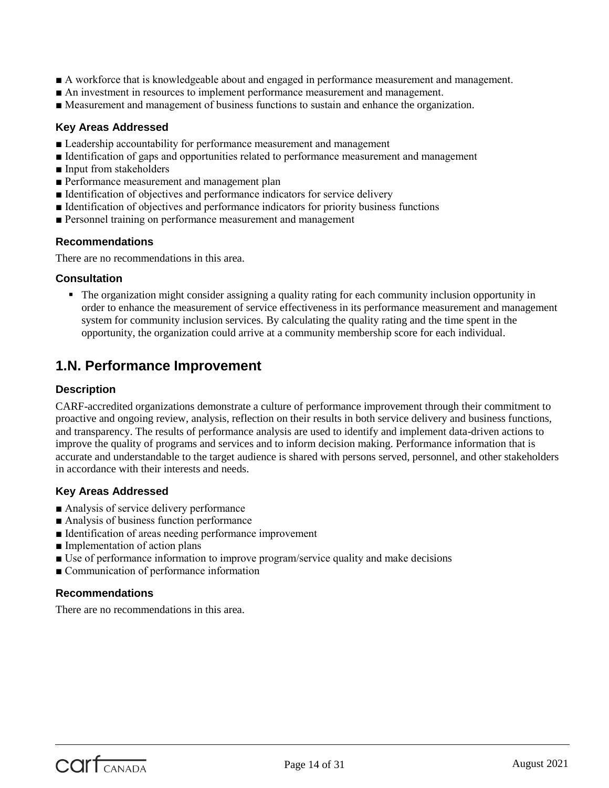- A workforce that is knowledgeable about and engaged in performance measurement and management.
- An investment in resources to implement performance measurement and management.
- Measurement and management of business functions to sustain and enhance the organization.

#### **Key Areas Addressed**

- Leadership accountability for performance measurement and management
- Identification of gaps and opportunities related to performance measurement and management
- Input from stakeholders
- Performance measurement and management plan
- Identification of objectives and performance indicators for service delivery
- Identification of objectives and performance indicators for priority business functions
- Personnel training on performance measurement and management

#### **Recommendations**

There are no recommendations in this area.

#### **Consultation**

 The organization might consider assigning a quality rating for each community inclusion opportunity in order to enhance the measurement of service effectiveness in its performance measurement and management system for community inclusion services. By calculating the quality rating and the time spent in the opportunity, the organization could arrive at a community membership score for each individual.

## **1.N. Performance Improvement**

#### **Description**

CARF-accredited organizations demonstrate a culture of performance improvement through their commitment to proactive and ongoing review, analysis, reflection on their results in both service delivery and business functions, and transparency. The results of performance analysis are used to identify and implement data-driven actions to improve the quality of programs and services and to inform decision making. Performance information that is accurate and understandable to the target audience is shared with persons served, personnel, and other stakeholders in accordance with their interests and needs.

#### **Key Areas Addressed**

- Analysis of service delivery performance
- Analysis of business function performance
- Identification of areas needing performance improvement
- Implementation of action plans
- Use of performance information to improve program/service quality and make decisions
- Communication of performance information

#### **Recommendations**

There are no recommendations in this area.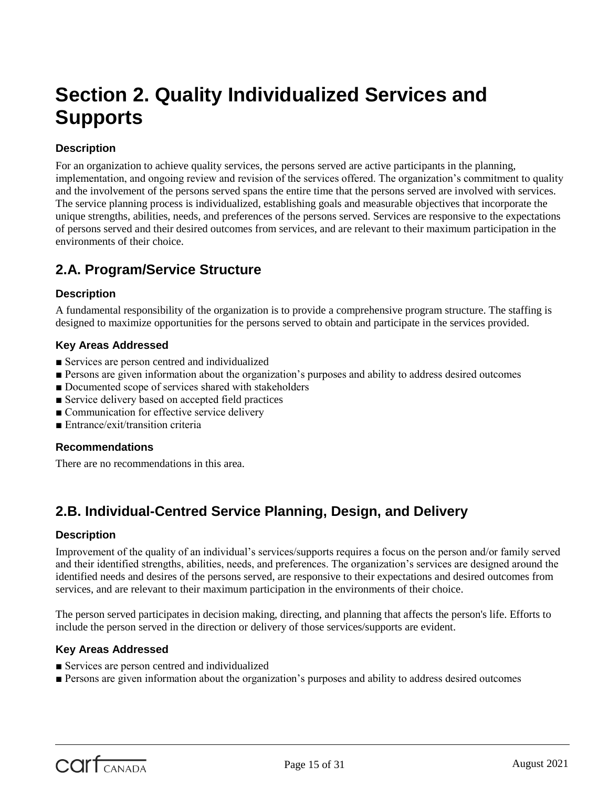## **Section 2. Quality Individualized Services and Supports**

#### **Description**

For an organization to achieve quality services, the persons served are active participants in the planning, implementation, and ongoing review and revision of the services offered. The organization's commitment to quality and the involvement of the persons served spans the entire time that the persons served are involved with services. The service planning process is individualized, establishing goals and measurable objectives that incorporate the unique strengths, abilities, needs, and preferences of the persons served. Services are responsive to the expectations of persons served and their desired outcomes from services, and are relevant to their maximum participation in the environments of their choice.

## **2.A. Program/Service Structure**

#### **Description**

A fundamental responsibility of the organization is to provide a comprehensive program structure. The staffing is designed to maximize opportunities for the persons served to obtain and participate in the services provided.

#### **Key Areas Addressed**

- Services are person centred and individualized
- Persons are given information about the organization's purposes and ability to address desired outcomes
- Documented scope of services shared with stakeholders
- Service delivery based on accepted field practices
- Communication for effective service delivery
- Entrance/exit/transition criteria

#### **Recommendations**

There are no recommendations in this area.

## **2.B. Individual-Centred Service Planning, Design, and Delivery**

#### **Description**

Improvement of the quality of an individual's services/supports requires a focus on the person and/or family served and their identified strengths, abilities, needs, and preferences. The organization's services are designed around the identified needs and desires of the persons served, are responsive to their expectations and desired outcomes from services, and are relevant to their maximum participation in the environments of their choice.

The person served participates in decision making, directing, and planning that affects the person's life. Efforts to include the person served in the direction or delivery of those services/supports are evident.

#### **Key Areas Addressed**

- Services are person centred and individualized
- Persons are given information about the organization's purposes and ability to address desired outcomes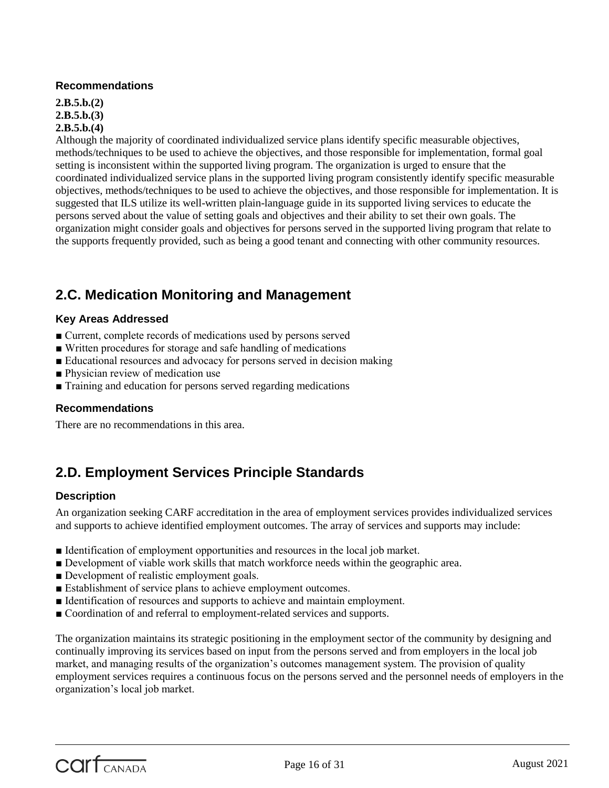#### **Recommendations**

**2.B.5.b.(2) 2.B.5.b.(3) 2.B.5.b.(4)**

Although the majority of coordinated individualized service plans identify specific measurable objectives, methods/techniques to be used to achieve the objectives, and those responsible for implementation, formal goal setting is inconsistent within the supported living program. The organization is urged to ensure that the coordinated individualized service plans in the supported living program consistently identify specific measurable objectives, methods/techniques to be used to achieve the objectives, and those responsible for implementation. It is suggested that ILS utilize its well-written plain-language guide in its supported living services to educate the persons served about the value of setting goals and objectives and their ability to set their own goals. The organization might consider goals and objectives for persons served in the supported living program that relate to the supports frequently provided, such as being a good tenant and connecting with other community resources.

## **2.C. Medication Monitoring and Management**

#### **Key Areas Addressed**

- Current, complete records of medications used by persons served
- Written procedures for storage and safe handling of medications
- Educational resources and advocacy for persons served in decision making
- Physician review of medication use
- Training and education for persons served regarding medications

#### **Recommendations**

There are no recommendations in this area.

## **2.D. Employment Services Principle Standards**

#### **Description**

An organization seeking CARF accreditation in the area of employment services provides individualized services and supports to achieve identified employment outcomes. The array of services and supports may include:

- Identification of employment opportunities and resources in the local job market.
- Development of viable work skills that match workforce needs within the geographic area.
- Development of realistic employment goals.
- Establishment of service plans to achieve employment outcomes.
- Identification of resources and supports to achieve and maintain employment.
- Coordination of and referral to employment-related services and supports.

The organization maintains its strategic positioning in the employment sector of the community by designing and continually improving its services based on input from the persons served and from employers in the local job market, and managing results of the organization's outcomes management system. The provision of quality employment services requires a continuous focus on the persons served and the personnel needs of employers in the organization's local job market.

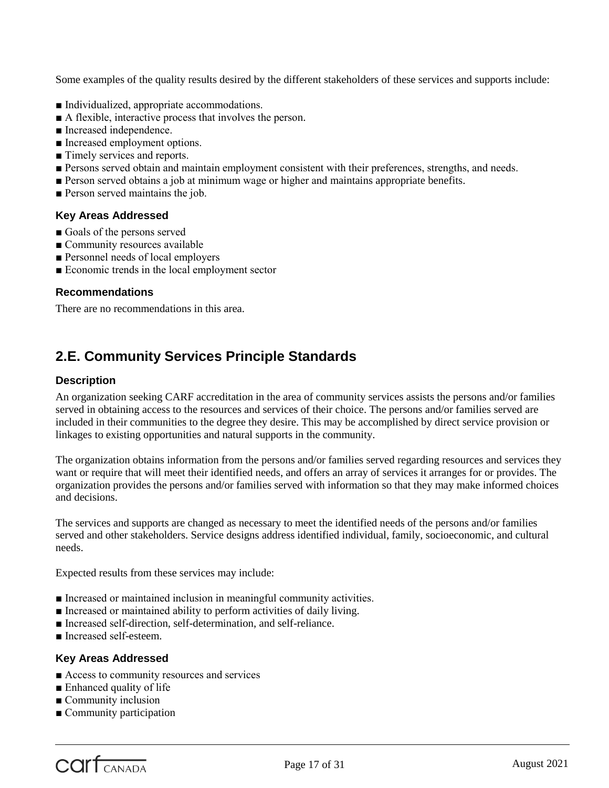Some examples of the quality results desired by the different stakeholders of these services and supports include:

- Individualized, appropriate accommodations.
- A flexible, interactive process that involves the person.
- Increased independence.
- Increased employment options.
- Timely services and reports.
- Persons served obtain and maintain employment consistent with their preferences, strengths, and needs.
- Person served obtains a job at minimum wage or higher and maintains appropriate benefits.
- Person served maintains the job.

#### **Key Areas Addressed**

- Goals of the persons served
- Community resources available
- Personnel needs of local employers
- Economic trends in the local employment sector

#### **Recommendations**

There are no recommendations in this area.

## **2.E. Community Services Principle Standards**

#### **Description**

An organization seeking CARF accreditation in the area of community services assists the persons and/or families served in obtaining access to the resources and services of their choice. The persons and/or families served are included in their communities to the degree they desire. This may be accomplished by direct service provision or linkages to existing opportunities and natural supports in the community.

The organization obtains information from the persons and/or families served regarding resources and services they want or require that will meet their identified needs, and offers an array of services it arranges for or provides. The organization provides the persons and/or families served with information so that they may make informed choices and decisions.

The services and supports are changed as necessary to meet the identified needs of the persons and/or families served and other stakeholders. Service designs address identified individual, family, socioeconomic, and cultural needs.

Expected results from these services may include:

- Increased or maintained inclusion in meaningful community activities.
- Increased or maintained ability to perform activities of daily living.
- Increased self-direction, self-determination, and self-reliance.
- Increased self-esteem.

#### **Key Areas Addressed**

- Access to community resources and services
- Enhanced quality of life
- Community inclusion
- Community participation

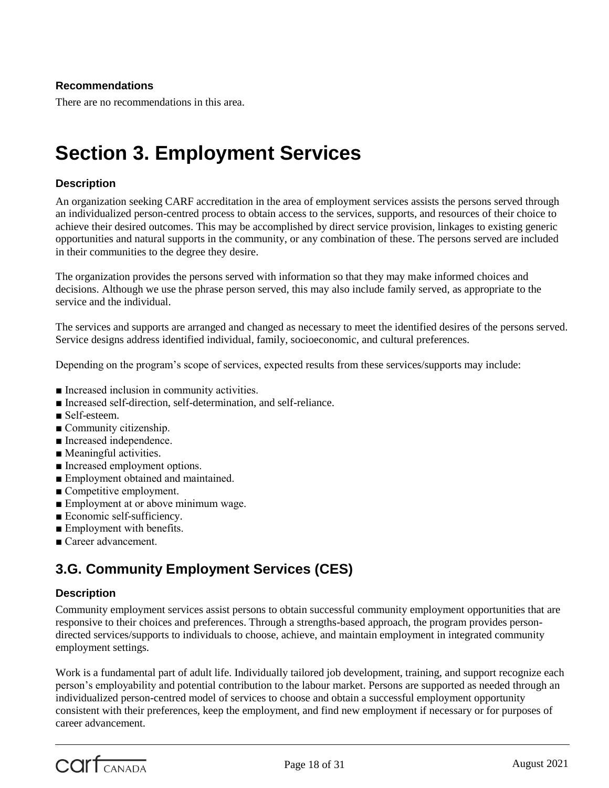#### **Recommendations**

There are no recommendations in this area.

## **Section 3. Employment Services**

#### **Description**

An organization seeking CARF accreditation in the area of employment services assists the persons served through an individualized person-centred process to obtain access to the services, supports, and resources of their choice to achieve their desired outcomes. This may be accomplished by direct service provision, linkages to existing generic opportunities and natural supports in the community, or any combination of these. The persons served are included in their communities to the degree they desire.

The organization provides the persons served with information so that they may make informed choices and decisions. Although we use the phrase person served, this may also include family served, as appropriate to the service and the individual.

The services and supports are arranged and changed as necessary to meet the identified desires of the persons served. Service designs address identified individual, family, socioeconomic, and cultural preferences.

Depending on the program's scope of services, expected results from these services/supports may include:

- Increased inclusion in community activities.
- Increased self-direction, self-determination, and self-reliance.
- Self-esteem.
- Community citizenship.
- Increased independence.
- Meaningful activities.
- Increased employment options.
- Employment obtained and maintained.
- Competitive employment.
- Employment at or above minimum wage.
- Economic self-sufficiency.
- Employment with benefits.
- Career advancement.

## **3.G. Community Employment Services (CES)**

#### **Description**

Community employment services assist persons to obtain successful community employment opportunities that are responsive to their choices and preferences. Through a strengths-based approach, the program provides persondirected services/supports to individuals to choose, achieve, and maintain employment in integrated community employment settings.

Work is a fundamental part of adult life. Individually tailored job development, training, and support recognize each person's employability and potential contribution to the labour market. Persons are supported as needed through an individualized person-centred model of services to choose and obtain a successful employment opportunity consistent with their preferences, keep the employment, and find new employment if necessary or for purposes of career advancement.

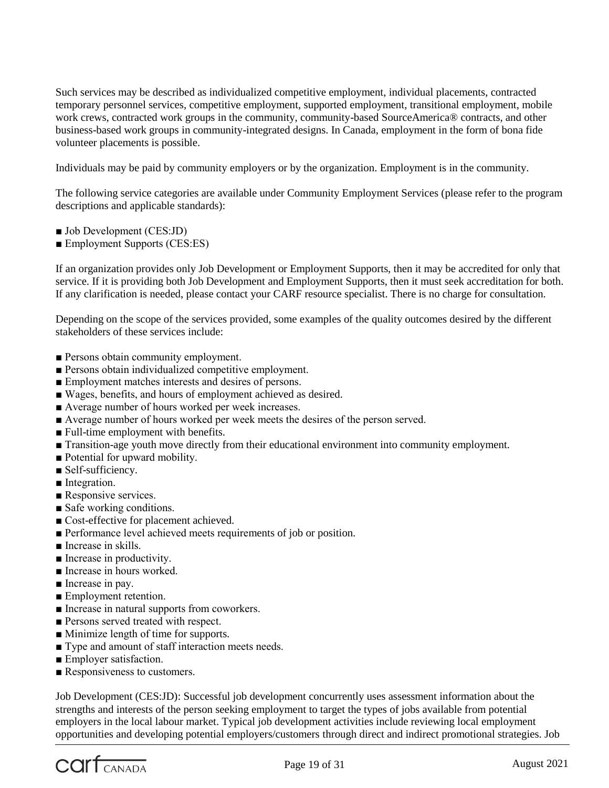Such services may be described as individualized competitive employment, individual placements, contracted temporary personnel services, competitive employment, supported employment, transitional employment, mobile work crews, contracted work groups in the community, community-based SourceAmerica® contracts, and other business-based work groups in community-integrated designs. In Canada, employment in the form of bona fide volunteer placements is possible.

Individuals may be paid by community employers or by the organization. Employment is in the community.

The following service categories are available under Community Employment Services (please refer to the program descriptions and applicable standards):

- Job Development (CES:JD)
- Employment Supports (CES:ES)

If an organization provides only Job Development or Employment Supports, then it may be accredited for only that service. If it is providing both Job Development and Employment Supports, then it must seek accreditation for both. If any clarification is needed, please contact your CARF resource specialist. There is no charge for consultation.

Depending on the scope of the services provided, some examples of the quality outcomes desired by the different stakeholders of these services include:

- Persons obtain community employment.
- Persons obtain individualized competitive employment.
- Employment matches interests and desires of persons.
- Wages, benefits, and hours of employment achieved as desired.
- Average number of hours worked per week increases.
- Average number of hours worked per week meets the desires of the person served.
- Full-time employment with benefits.
- Transition-age youth move directly from their educational environment into community employment.
- Potential for upward mobility.
- Self-sufficiency.
- Integration.
- Responsive services.
- Safe working conditions.
- Cost-effective for placement achieved.
- Performance level achieved meets requirements of job or position.
- Increase in skills.
- Increase in productivity.
- Increase in hours worked.
- Increase in pay.
- Employment retention.
- Increase in natural supports from coworkers.
- Persons served treated with respect.
- Minimize length of time for supports.
- Type and amount of staff interaction meets needs.
- Employer satisfaction.
- Responsiveness to customers.

Job Development (CES:JD): Successful job development concurrently uses assessment information about the strengths and interests of the person seeking employment to target the types of jobs available from potential employers in the local labour market. Typical job development activities include reviewing local employment opportunities and developing potential employers/customers through direct and indirect promotional strategies. Job

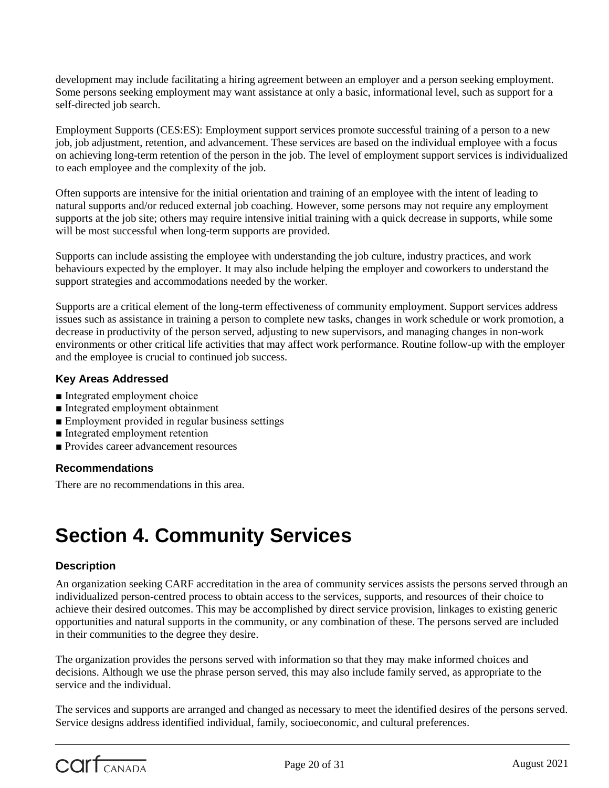development may include facilitating a hiring agreement between an employer and a person seeking employment. Some persons seeking employment may want assistance at only a basic, informational level, such as support for a self-directed job search.

Employment Supports (CES:ES): Employment support services promote successful training of a person to a new job, job adjustment, retention, and advancement. These services are based on the individual employee with a focus on achieving long-term retention of the person in the job. The level of employment support services is individualized to each employee and the complexity of the job.

Often supports are intensive for the initial orientation and training of an employee with the intent of leading to natural supports and/or reduced external job coaching. However, some persons may not require any employment supports at the job site; others may require intensive initial training with a quick decrease in supports, while some will be most successful when long-term supports are provided.

Supports can include assisting the employee with understanding the job culture, industry practices, and work behaviours expected by the employer. It may also include helping the employer and coworkers to understand the support strategies and accommodations needed by the worker.

Supports are a critical element of the long-term effectiveness of community employment. Support services address issues such as assistance in training a person to complete new tasks, changes in work schedule or work promotion, a decrease in productivity of the person served, adjusting to new supervisors, and managing changes in non-work environments or other critical life activities that may affect work performance. Routine follow-up with the employer and the employee is crucial to continued job success.

#### **Key Areas Addressed**

- Integrated employment choice
- Integrated employment obtainment
- Employment provided in regular business settings
- Integrated employment retention
- Provides career advancement resources

#### **Recommendations**

There are no recommendations in this area.

## **Section 4. Community Services**

#### **Description**

An organization seeking CARF accreditation in the area of community services assists the persons served through an individualized person-centred process to obtain access to the services, supports, and resources of their choice to achieve their desired outcomes. This may be accomplished by direct service provision, linkages to existing generic opportunities and natural supports in the community, or any combination of these. The persons served are included in their communities to the degree they desire.

The organization provides the persons served with information so that they may make informed choices and decisions. Although we use the phrase person served, this may also include family served, as appropriate to the service and the individual.

The services and supports are arranged and changed as necessary to meet the identified desires of the persons served. Service designs address identified individual, family, socioeconomic, and cultural preferences.

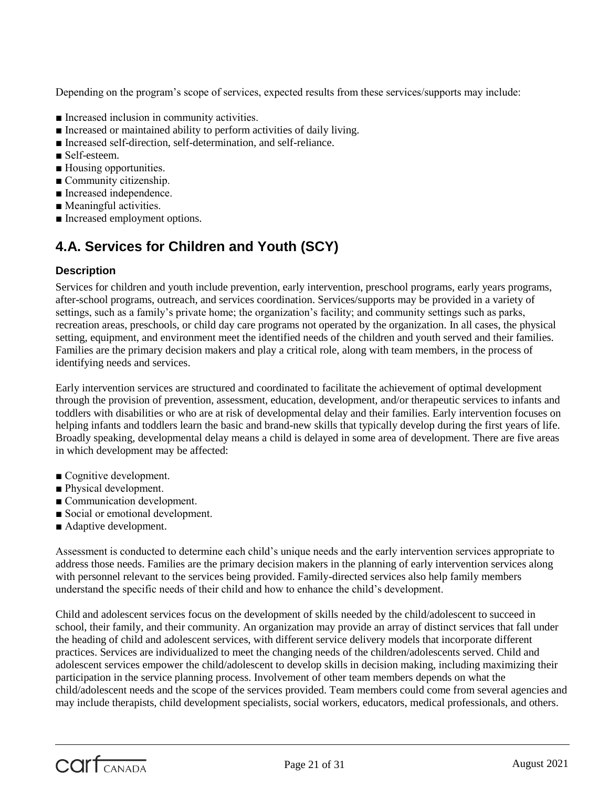Depending on the program's scope of services, expected results from these services/supports may include:

- Increased inclusion in community activities.
- Increased or maintained ability to perform activities of daily living.
- Increased self-direction, self-determination, and self-reliance.
- Self-esteem.
- Housing opportunities.
- Community citizenship.
- Increased independence.
- Meaningful activities.
- Increased employment options.

## **4.A. Services for Children and Youth (SCY)**

#### **Description**

Services for children and youth include prevention, early intervention, preschool programs, early years programs, after-school programs, outreach, and services coordination. Services/supports may be provided in a variety of settings, such as a family's private home; the organization's facility; and community settings such as parks, recreation areas, preschools, or child day care programs not operated by the organization. In all cases, the physical setting, equipment, and environment meet the identified needs of the children and youth served and their families. Families are the primary decision makers and play a critical role, along with team members, in the process of identifying needs and services.

Early intervention services are structured and coordinated to facilitate the achievement of optimal development through the provision of prevention, assessment, education, development, and/or therapeutic services to infants and toddlers with disabilities or who are at risk of developmental delay and their families. Early intervention focuses on helping infants and toddlers learn the basic and brand-new skills that typically develop during the first years of life. Broadly speaking, developmental delay means a child is delayed in some area of development. There are five areas in which development may be affected:

- Cognitive development.
- Physical development.
- Communication development.
- Social or emotional development.
- Adaptive development.

Assessment is conducted to determine each child's unique needs and the early intervention services appropriate to address those needs. Families are the primary decision makers in the planning of early intervention services along with personnel relevant to the services being provided. Family-directed services also help family members understand the specific needs of their child and how to enhance the child's development.

Child and adolescent services focus on the development of skills needed by the child/adolescent to succeed in school, their family, and their community. An organization may provide an array of distinct services that fall under the heading of child and adolescent services, with different service delivery models that incorporate different practices. Services are individualized to meet the changing needs of the children/adolescents served. Child and adolescent services empower the child/adolescent to develop skills in decision making, including maximizing their participation in the service planning process. Involvement of other team members depends on what the child/adolescent needs and the scope of the services provided. Team members could come from several agencies and may include therapists, child development specialists, social workers, educators, medical professionals, and others.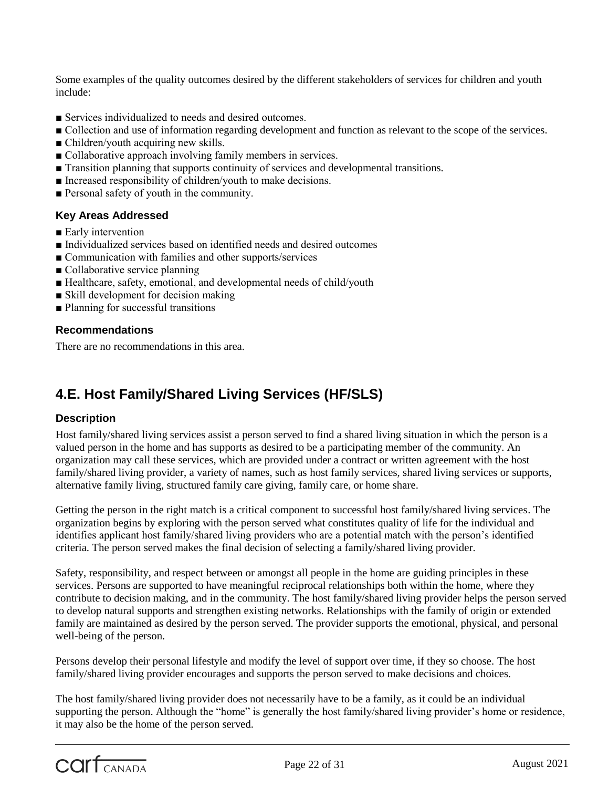Some examples of the quality outcomes desired by the different stakeholders of services for children and youth include:

- Services individualized to needs and desired outcomes.
- Collection and use of information regarding development and function as relevant to the scope of the services.
- Children/youth acquiring new skills.
- Collaborative approach involving family members in services.
- Transition planning that supports continuity of services and developmental transitions.
- Increased responsibility of children/youth to make decisions.
- Personal safety of youth in the community.

#### **Key Areas Addressed**

- Early intervention
- Individualized services based on identified needs and desired outcomes
- Communication with families and other supports/services
- Collaborative service planning
- Healthcare, safety, emotional, and developmental needs of child/youth
- Skill development for decision making
- Planning for successful transitions

#### **Recommendations**

There are no recommendations in this area.

## **4.E. Host Family/Shared Living Services (HF/SLS)**

#### **Description**

Host family/shared living services assist a person served to find a shared living situation in which the person is a valued person in the home and has supports as desired to be a participating member of the community. An organization may call these services, which are provided under a contract or written agreement with the host family/shared living provider, a variety of names, such as host family services, shared living services or supports, alternative family living, structured family care giving, family care, or home share.

Getting the person in the right match is a critical component to successful host family/shared living services. The organization begins by exploring with the person served what constitutes quality of life for the individual and identifies applicant host family/shared living providers who are a potential match with the person's identified criteria. The person served makes the final decision of selecting a family/shared living provider.

Safety, responsibility, and respect between or amongst all people in the home are guiding principles in these services. Persons are supported to have meaningful reciprocal relationships both within the home, where they contribute to decision making, and in the community. The host family/shared living provider helps the person served to develop natural supports and strengthen existing networks. Relationships with the family of origin or extended family are maintained as desired by the person served. The provider supports the emotional, physical, and personal well-being of the person.

Persons develop their personal lifestyle and modify the level of support over time, if they so choose. The host family/shared living provider encourages and supports the person served to make decisions and choices.

The host family/shared living provider does not necessarily have to be a family, as it could be an individual supporting the person. Although the "home" is generally the host family/shared living provider's home or residence, it may also be the home of the person served.

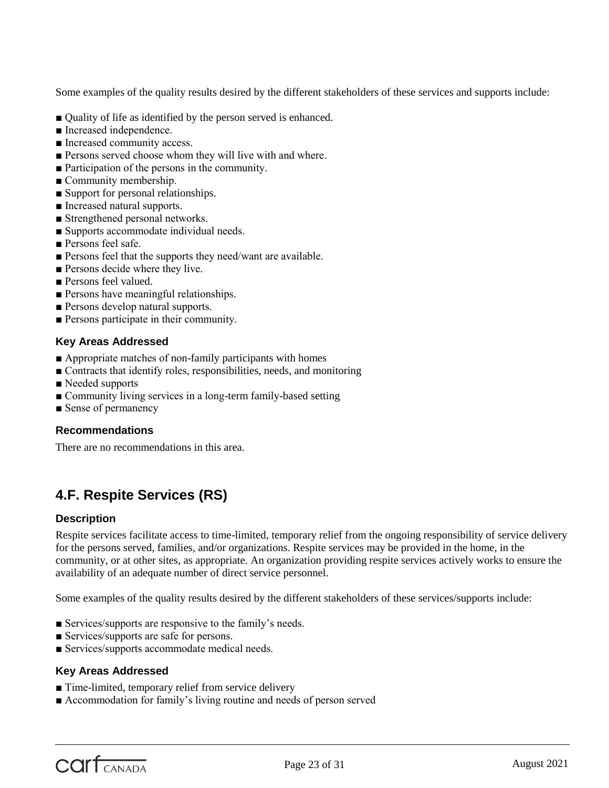Some examples of the quality results desired by the different stakeholders of these services and supports include:

- Quality of life as identified by the person served is enhanced.
- Increased independence.
- Increased community access.
- Persons served choose whom they will live with and where.
- Participation of the persons in the community.
- Community membership.
- Support for personal relationships.
- Increased natural supports.
- Strengthened personal networks.
- Supports accommodate individual needs.
- Persons feel safe.
- Persons feel that the supports they need/want are available.
- Persons decide where they live.
- Persons feel valued.
- Persons have meaningful relationships.
- Persons develop natural supports.
- Persons participate in their community.

#### **Key Areas Addressed**

- Appropriate matches of non-family participants with homes
- Contracts that identify roles, responsibilities, needs, and monitoring
- Needed supports
- Community living services in a long-term family-based setting
- Sense of permanency

#### **Recommendations**

There are no recommendations in this area.

## **4.F. Respite Services (RS)**

#### **Description**

Respite services facilitate access to time-limited, temporary relief from the ongoing responsibility of service delivery for the persons served, families, and/or organizations. Respite services may be provided in the home, in the community, or at other sites, as appropriate. An organization providing respite services actively works to ensure the availability of an adequate number of direct service personnel.

Some examples of the quality results desired by the different stakeholders of these services/supports include:

- Services/supports are responsive to the family's needs.
- Services/supports are safe for persons.
- Services/supports accommodate medical needs.

#### **Key Areas Addressed**

- Time-limited, temporary relief from service delivery
- Accommodation for family's living routine and needs of person served

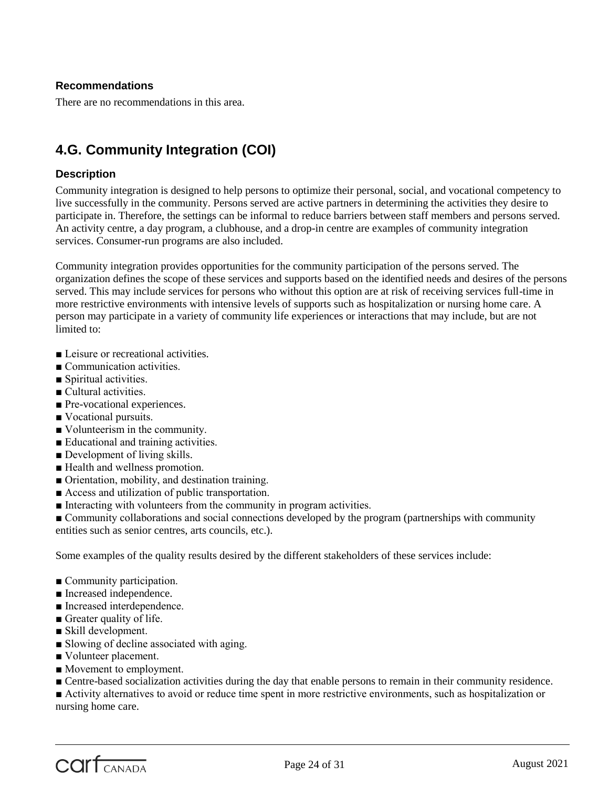#### **Recommendations**

There are no recommendations in this area.

## **4.G. Community Integration (COI)**

#### **Description**

Community integration is designed to help persons to optimize their personal, social, and vocational competency to live successfully in the community. Persons served are active partners in determining the activities they desire to participate in. Therefore, the settings can be informal to reduce barriers between staff members and persons served. An activity centre, a day program, a clubhouse, and a drop-in centre are examples of community integration services. Consumer-run programs are also included.

Community integration provides opportunities for the community participation of the persons served. The organization defines the scope of these services and supports based on the identified needs and desires of the persons served. This may include services for persons who without this option are at risk of receiving services full-time in more restrictive environments with intensive levels of supports such as hospitalization or nursing home care. A person may participate in a variety of community life experiences or interactions that may include, but are not limited to:

- Leisure or recreational activities.
- Communication activities.
- Spiritual activities.
- Cultural activities.
- Pre-vocational experiences.
- Vocational pursuits.
- Volunteerism in the community.
- Educational and training activities.
- Development of living skills.
- Health and wellness promotion.
- Orientation, mobility, and destination training.
- Access and utilization of public transportation.
- Interacting with volunteers from the community in program activities.

■ Community collaborations and social connections developed by the program (partnerships with community entities such as senior centres, arts councils, etc.).

Some examples of the quality results desired by the different stakeholders of these services include:

- Community participation.
- Increased independence.
- Increased interdependence.
- Greater quality of life.
- Skill development.
- Slowing of decline associated with aging.
- Volunteer placement.
- Movement to employment.
- Centre-based socialization activities during the day that enable persons to remain in their community residence.

■ Activity alternatives to avoid or reduce time spent in more restrictive environments, such as hospitalization or nursing home care.

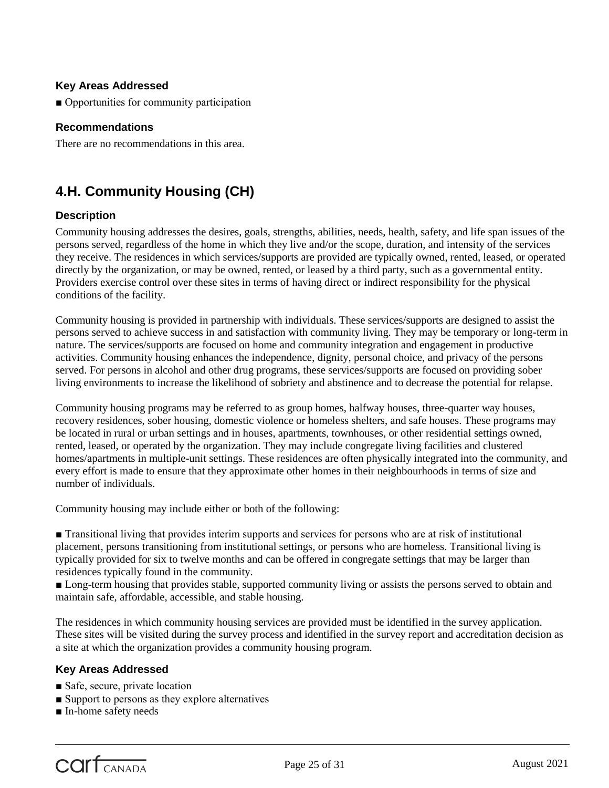#### **Key Areas Addressed**

■ Opportunities for community participation

#### **Recommendations**

There are no recommendations in this area.

## **4.H. Community Housing (CH)**

#### **Description**

Community housing addresses the desires, goals, strengths, abilities, needs, health, safety, and life span issues of the persons served, regardless of the home in which they live and/or the scope, duration, and intensity of the services they receive. The residences in which services/supports are provided are typically owned, rented, leased, or operated directly by the organization, or may be owned, rented, or leased by a third party, such as a governmental entity. Providers exercise control over these sites in terms of having direct or indirect responsibility for the physical conditions of the facility.

Community housing is provided in partnership with individuals. These services/supports are designed to assist the persons served to achieve success in and satisfaction with community living. They may be temporary or long-term in nature. The services/supports are focused on home and community integration and engagement in productive activities. Community housing enhances the independence, dignity, personal choice, and privacy of the persons served. For persons in alcohol and other drug programs, these services/supports are focused on providing sober living environments to increase the likelihood of sobriety and abstinence and to decrease the potential for relapse.

Community housing programs may be referred to as group homes, halfway houses, three-quarter way houses, recovery residences, sober housing, domestic violence or homeless shelters, and safe houses. These programs may be located in rural or urban settings and in houses, apartments, townhouses, or other residential settings owned, rented, leased, or operated by the organization. They may include congregate living facilities and clustered homes/apartments in multiple-unit settings. These residences are often physically integrated into the community, and every effort is made to ensure that they approximate other homes in their neighbourhoods in terms of size and number of individuals.

Community housing may include either or both of the following:

■ Transitional living that provides interim supports and services for persons who are at risk of institutional placement, persons transitioning from institutional settings, or persons who are homeless. Transitional living is typically provided for six to twelve months and can be offered in congregate settings that may be larger than residences typically found in the community.

■ Long-term housing that provides stable, supported community living or assists the persons served to obtain and maintain safe, affordable, accessible, and stable housing.

The residences in which community housing services are provided must be identified in the survey application. These sites will be visited during the survey process and identified in the survey report and accreditation decision as a site at which the organization provides a community housing program.

#### **Key Areas Addressed**

- Safe, secure, private location
- Support to persons as they explore alternatives
- In-home safety needs

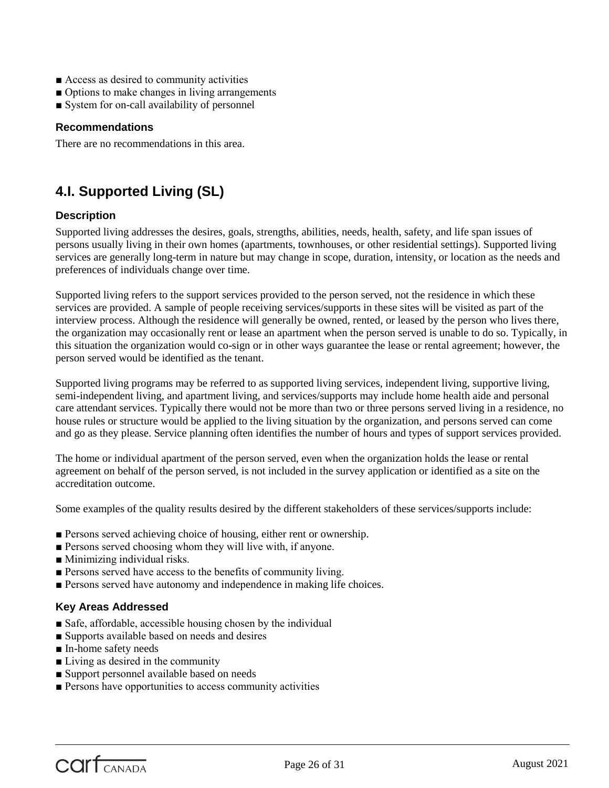- Access as desired to community activities
- Options to make changes in living arrangements
- System for on-call availability of personnel

#### **Recommendations**

There are no recommendations in this area.

## **4.I. Supported Living (SL)**

#### **Description**

Supported living addresses the desires, goals, strengths, abilities, needs, health, safety, and life span issues of persons usually living in their own homes (apartments, townhouses, or other residential settings). Supported living services are generally long-term in nature but may change in scope, duration, intensity, or location as the needs and preferences of individuals change over time.

Supported living refers to the support services provided to the person served, not the residence in which these services are provided. A sample of people receiving services/supports in these sites will be visited as part of the interview process. Although the residence will generally be owned, rented, or leased by the person who lives there, the organization may occasionally rent or lease an apartment when the person served is unable to do so. Typically, in this situation the organization would co-sign or in other ways guarantee the lease or rental agreement; however, the person served would be identified as the tenant.

Supported living programs may be referred to as supported living services, independent living, supportive living, semi-independent living, and apartment living, and services/supports may include home health aide and personal care attendant services. Typically there would not be more than two or three persons served living in a residence, no house rules or structure would be applied to the living situation by the organization, and persons served can come and go as they please. Service planning often identifies the number of hours and types of support services provided.

The home or individual apartment of the person served, even when the organization holds the lease or rental agreement on behalf of the person served, is not included in the survey application or identified as a site on the accreditation outcome.

Some examples of the quality results desired by the different stakeholders of these services/supports include:

- Persons served achieving choice of housing, either rent or ownership.
- Persons served choosing whom they will live with, if anyone.
- Minimizing individual risks.
- Persons served have access to the benefits of community living.
- Persons served have autonomy and independence in making life choices.

#### **Key Areas Addressed**

- Safe, affordable, accessible housing chosen by the individual
- Supports available based on needs and desires
- In-home safety needs
- Living as desired in the community
- Support personnel available based on needs
- Persons have opportunities to access community activities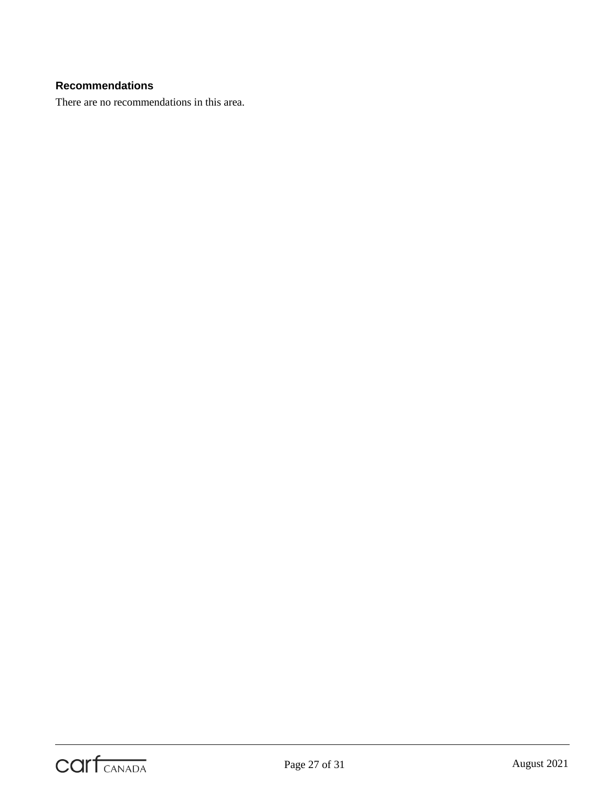#### **Recommendations**

There are no recommendations in this area.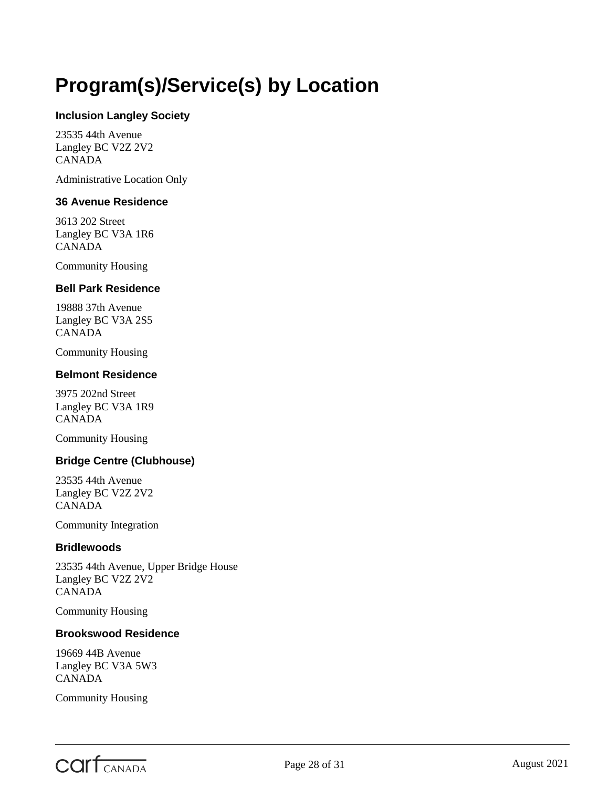## <span id="page-27-0"></span>**Program(s)/Service(s) by Location**

#### **Inclusion Langley Society**

23535 44th Avenue Langley BC V2Z 2V2 CANADA

Administrative Location Only

#### **36 Avenue Residence**

3613 202 Street Langley BC V3A 1R6 CANADA

Community Housing

#### **Bell Park Residence**

19888 37th Avenue Langley BC V3A 2S5 CANADA

Community Housing

#### **Belmont Residence**

3975 202nd Street Langley BC V3A 1R9 CANADA

Community Housing

#### **Bridge Centre (Clubhouse)**

23535 44th Avenue Langley BC V2Z 2V2 CANADA

Community Integration

#### **Bridlewoods**

23535 44th Avenue, Upper Bridge House Langley BC V2Z 2V2 CANADA

Community Housing

#### **Brookswood Residence**

19669 44B Avenue Langley BC V3A 5W3 CANADA

Community Housing

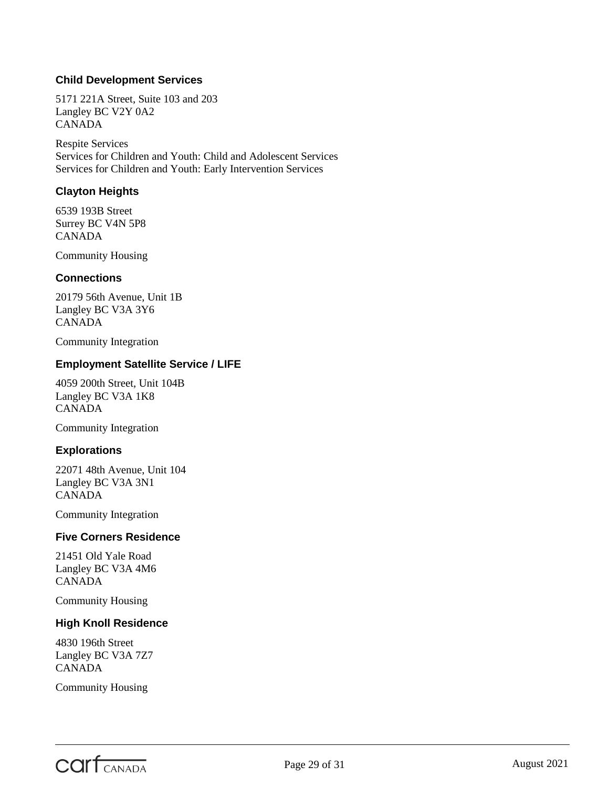#### **Child Development Services**

5171 221A Street, Suite 103 and 203 Langley BC V2Y 0A2 CANADA

Respite Services Services for Children and Youth: Child and Adolescent Services Services for Children and Youth: Early Intervention Services

#### **Clayton Heights**

6539 193B Street Surrey BC V4N 5P8 CANADA

Community Housing

#### **Connections**

20179 56th Avenue, Unit 1B Langley BC V3A 3Y6 CANADA

Community Integration

#### **Employment Satellite Service / LIFE**

4059 200th Street, Unit 104B Langley BC V3A 1K8 CANADA

Community Integration

#### **Explorations**

22071 48th Avenue, Unit 104 Langley BC V3A 3N1 CANADA

Community Integration

#### **Five Corners Residence**

21451 Old Yale Road Langley BC V3A 4M6 CANADA

Community Housing

#### **High Knoll Residence**

4830 196th Street Langley BC V3A 7Z7 CANADA

Community Housing

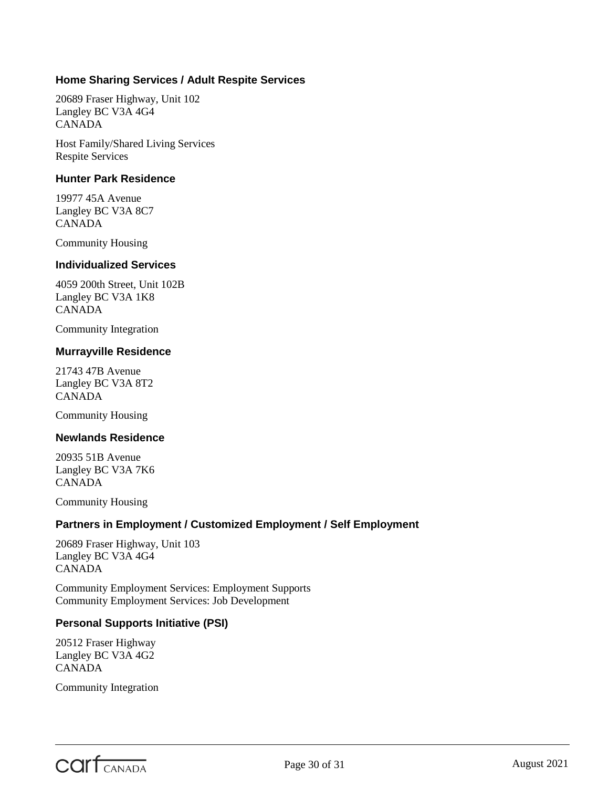#### **Home Sharing Services / Adult Respite Services**

20689 Fraser Highway, Unit 102 Langley BC V3A 4G4 CANADA

Host Family/Shared Living Services Respite Services

#### **Hunter Park Residence**

19977 45A Avenue Langley BC V3A 8C7 CANADA

Community Housing

#### **Individualized Services**

4059 200th Street, Unit 102B Langley BC V3A 1K8 CANADA

Community Integration

#### **Murrayville Residence**

21743 47B Avenue Langley BC V3A 8T2 CANADA

Community Housing

#### **Newlands Residence**

20935 51B Avenue Langley BC V3A 7K6 CANADA

Community Housing

#### **Partners in Employment / Customized Employment / Self Employment**

20689 Fraser Highway, Unit 103 Langley BC V3A 4G4 CANADA

Community Employment Services: Employment Supports Community Employment Services: Job Development

#### **Personal Supports Initiative (PSI)**

20512 Fraser Highway Langley BC V3A 4G2 CANADA

Community Integration